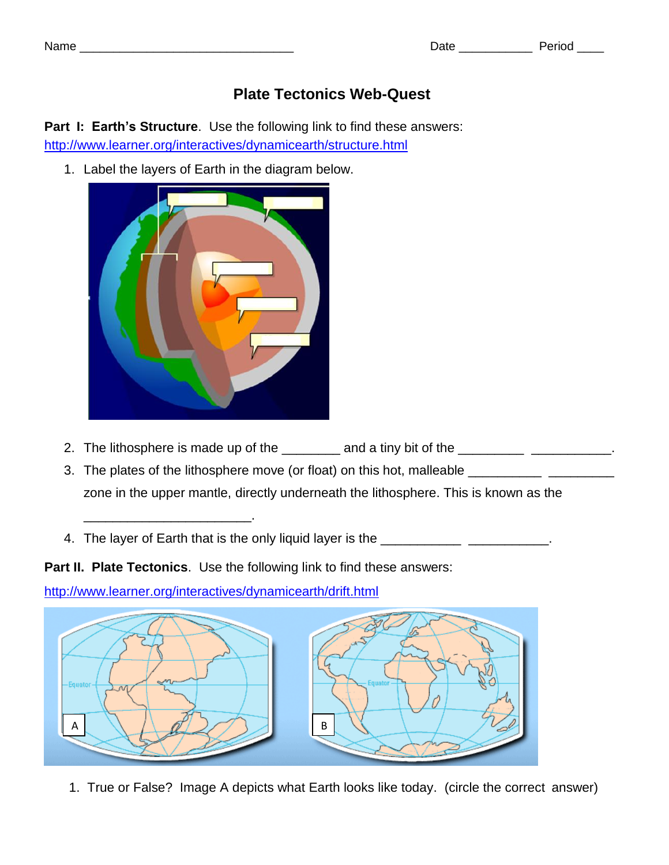## **Plate Tectonics Web-Quest**

**Part I: Earth's Structure**. Use the following link to find these answers: <http://www.learner.org/interactives/dynamicearth/structure.html>

1. Label the layers of Earth in the diagram below.



- 2. The lithosphere is made up of the \_\_\_\_\_\_\_ and a tiny bit of the \_\_\_\_\_\_\_\_\_\_\_\_\_\_\_\_\_\_\_\_.
- 3. The plates of the lithosphere move (or float) on this hot, malleable \_\_\_\_\_\_\_\_\_\_\_\_\_\_ zone in the upper mantle, directly underneath the lithosphere. This is known as the
- 4. The layer of Earth that is the only liquid layer is the **window of the state of the state of the state**.

**Part II. Plate Tectonics**. Use the following link to find these answers:

<http://www.learner.org/interactives/dynamicearth/drift.html>

\_\_\_\_\_\_\_\_\_\_\_\_\_\_\_\_\_\_\_\_\_\_\_.



1. True or False? Image A depicts what Earth looks like today. (circle the correct answer)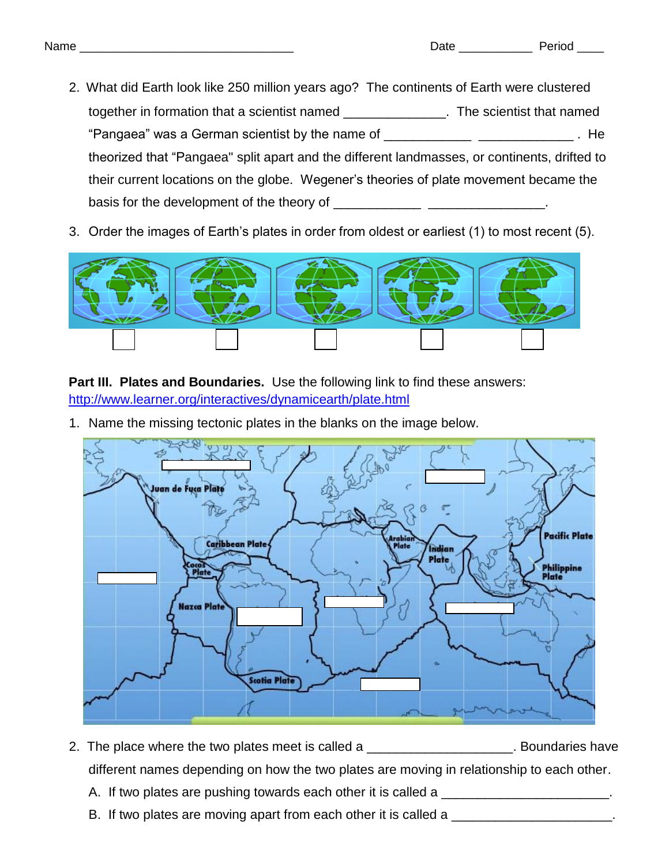- 2. What did Earth look like 250 million years ago? The continents of Earth were clustered together in formation that a scientist named \_\_\_\_\_\_\_\_\_\_\_\_\_\_. The scientist that named "Pangaea" was a German scientist by the name of \_\_\_\_\_\_\_\_\_\_\_\_ \_\_\_\_\_\_\_\_\_\_\_\_\_ . He theorized that "Pangaea" split apart and the different landmasses, or continents, drifted to their current locations on the globe. Wegener's theories of plate movement became the basis for the development of the theory of \_\_\_\_\_\_\_\_\_\_\_\_\_\_\_\_\_\_\_\_\_\_\_\_\_\_\_\_\_\_.
- 3. Order the images of Earth's plates in order from oldest or earliest (1) to most recent (5).



**Part III. Plates and Boundaries.** Use the following link to find these answers: <http://www.learner.org/interactives/dynamicearth/plate.html>

1. Name the missing tectonic plates in the blanks on the image below.



- 2. The place where the two plates meet is called a \_\_\_\_\_\_\_\_\_\_\_\_\_\_\_\_\_\_\_\_\_. Boundaries have different names depending on how the two plates are moving in relationship to each other.
	- A. If two plates are pushing towards each other it is called a \_\_\_\_\_\_\_\_\_\_\_\_\_\_\_\_\_\_\_\_\_.
	- B. If two plates are moving apart from each other it is called a \_\_\_\_\_\_\_\_\_\_\_\_\_\_\_\_\_\_\_\_\_\_\_.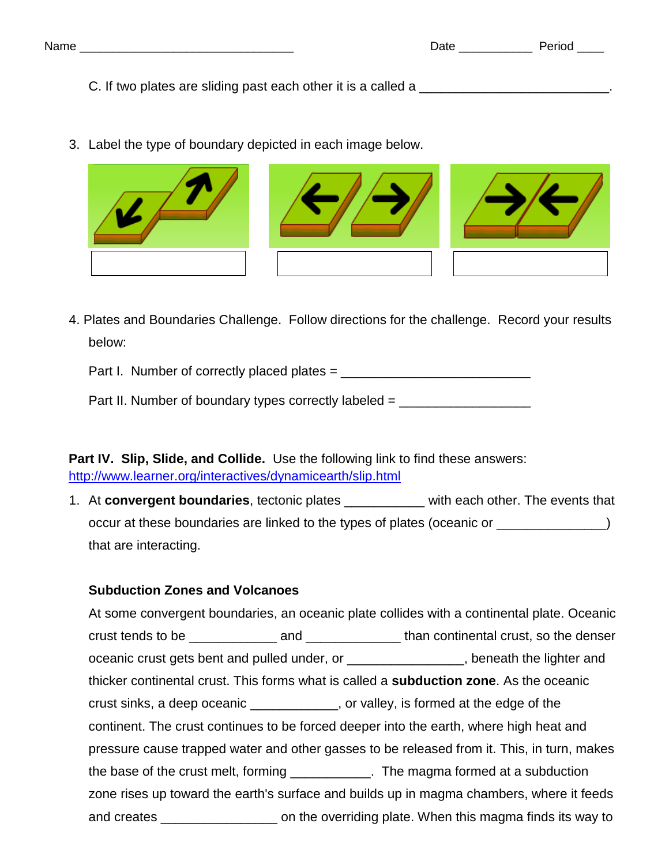C. If two plates are sliding past each other it is a called a  $\blacksquare$ 

3. Label the type of boundary depicted in each image below.



4. Plates and Boundaries Challenge. Follow directions for the challenge. Record your results below:

Part I. Number of correctly placed plates = \_\_\_\_\_\_\_\_\_\_\_\_\_\_\_\_\_\_\_\_\_\_\_\_\_\_

Part II. Number of boundary types correctly labeled  $=$ 

**Part IV. Slip, Slide, and Collide.** Use the following link to find these answers: <http://www.learner.org/interactives/dynamicearth/slip.html>

1. At **convergent boundaries**, tectonic plates \_\_\_\_\_\_\_\_\_\_\_ with each other. The events that occur at these boundaries are linked to the types of plates (oceanic or  $\qquad \qquad$ that are interacting.

## **Subduction Zones and Volcanoes**

At some convergent boundaries, an oceanic plate collides with a continental plate. Oceanic crust tends to be \_\_\_\_\_\_\_\_\_\_\_\_\_\_\_ and \_\_\_\_\_\_\_\_\_\_\_\_\_\_\_\_ than continental crust, so the denser oceanic crust gets bent and pulled under, or \_\_\_\_\_\_\_\_\_\_\_\_\_\_\_\_, beneath the lighter and thicker continental crust. This forms what is called a **subduction zone**. As the oceanic crust sinks, a deep oceanic \_\_\_\_\_\_\_\_\_\_\_\_, or valley, is formed at the edge of the continent. The crust continues to be forced deeper into the earth, where high heat and pressure cause trapped water and other gasses to be released from it. This, in turn, makes the base of the crust melt, forming \_\_\_\_\_\_\_\_\_\_\_\_. The magma formed at a subduction zone rises up toward the earth's surface and builds up in magma chambers, where it feeds and creates \_\_\_\_\_\_\_\_\_\_\_\_\_\_\_\_ on the overriding plate. When this magma finds its way to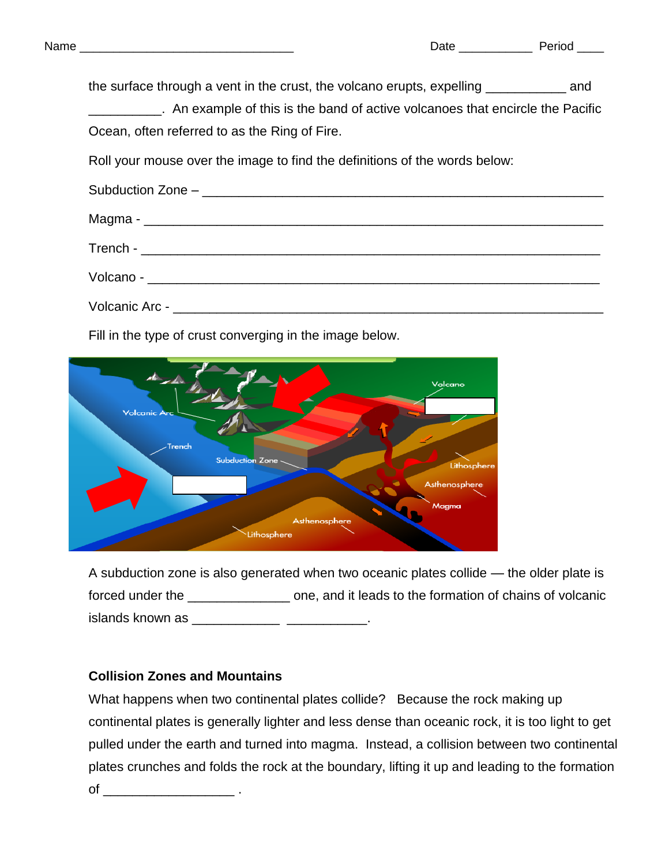| the surface through a vent in the crust, the volcano erupts, expelling ______________ and |
|-------------------------------------------------------------------------------------------|
| __________. An example of this is the band of active volcanoes that encircle the Pacific  |
| Ocean, often referred to as the Ring of Fire.                                             |
| Roll your mouse over the image to find the definitions of the words below:                |
|                                                                                           |
|                                                                                           |
|                                                                                           |
|                                                                                           |
|                                                                                           |

Fill in the type of crust converging in the image below.



A subduction zone is also generated when two oceanic plates collide — the older plate is forced under the \_\_\_\_\_\_\_\_\_\_\_\_\_\_ one, and it leads to the formation of chains of volcanic islands known as \_\_\_\_\_\_\_\_\_\_\_\_\_\_\_\_\_\_\_\_\_\_\_\_\_\_\_\_\_.

## **Collision Zones and Mountains**

What happens when two continental plates collide? Because the rock making up continental plates is generally lighter and less dense than oceanic rock, it is too light to get pulled under the earth and turned into magma. Instead, a collision between two continental plates crunches and folds the rock at the boundary, lifting it up and leading to the formation of  $\qquad \qquad \ldots$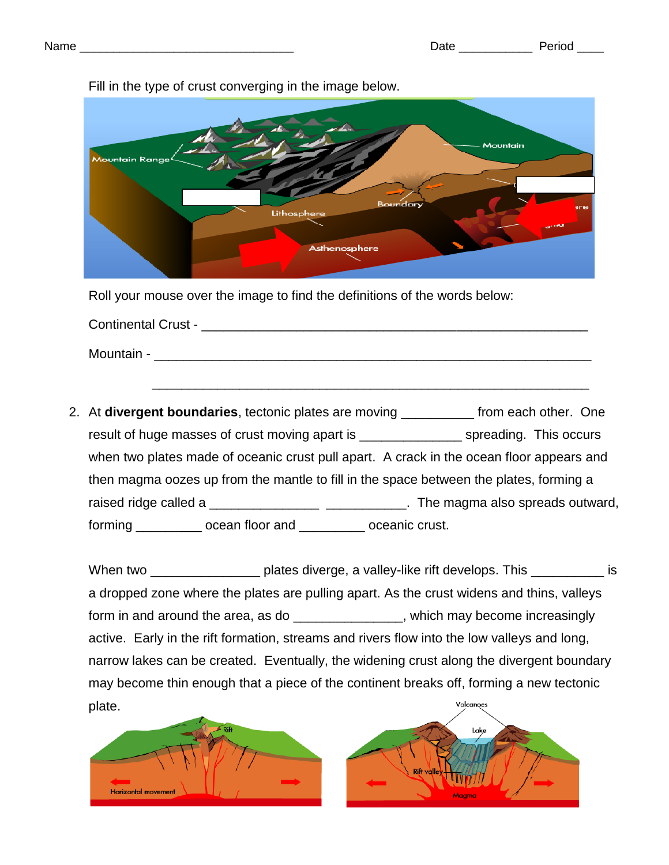

Fill in the type of crust converging in the image below.

Roll your mouse over the image to find the definitions of the words below:

Continental Crust - \_\_\_\_\_\_\_\_\_\_\_\_\_\_\_\_\_\_\_\_\_\_\_\_\_\_\_\_\_\_\_\_\_\_\_\_\_\_\_\_\_\_\_\_\_\_\_\_\_\_\_\_\_ Mountain -

 $\frac{1}{\sqrt{2}}$  ,  $\frac{1}{\sqrt{2}}$  ,  $\frac{1}{\sqrt{2}}$  ,  $\frac{1}{\sqrt{2}}$  ,  $\frac{1}{\sqrt{2}}$  ,  $\frac{1}{\sqrt{2}}$  ,  $\frac{1}{\sqrt{2}}$  ,  $\frac{1}{\sqrt{2}}$  ,  $\frac{1}{\sqrt{2}}$  ,  $\frac{1}{\sqrt{2}}$  ,  $\frac{1}{\sqrt{2}}$  ,  $\frac{1}{\sqrt{2}}$  ,  $\frac{1}{\sqrt{2}}$  ,  $\frac{1}{\sqrt{2}}$  ,  $\frac{1}{\sqrt{2}}$ 

2. At **divergent boundaries**, tectonic plates are moving \_\_\_\_\_\_\_\_\_\_ from each other. One result of huge masses of crust moving apart is example approaching. This occurs when two plates made of oceanic crust pull apart. A crack in the ocean floor appears and then magma oozes up from the mantle to fill in the space between the plates, forming a raised ridge called a \_\_\_\_\_\_\_\_\_\_\_\_\_\_\_\_\_\_\_\_\_\_\_\_\_\_\_\_\_\_\_. The magma also spreads outward, forming \_\_\_\_\_\_\_\_\_ ocean floor and \_\_\_\_\_\_\_\_\_ oceanic crust.

When two \_\_\_\_\_\_\_\_\_\_\_\_\_\_\_\_\_\_\_\_\_ plates diverge, a valley-like rift develops. This \_\_\_\_\_\_\_\_\_\_\_\_\_ is a dropped zone where the plates are pulling apart. As the crust widens and thins, valleys form in and around the area, as do \_\_\_\_\_\_\_\_\_\_\_\_\_\_\_, which may become increasingly active. Early in the rift formation, streams and rivers flow into the low valleys and long, narrow lakes can be created. Eventually, the widening crust along the divergent boundary may become thin enough that a piece of the continent breaks off, forming a new tectonic plate.



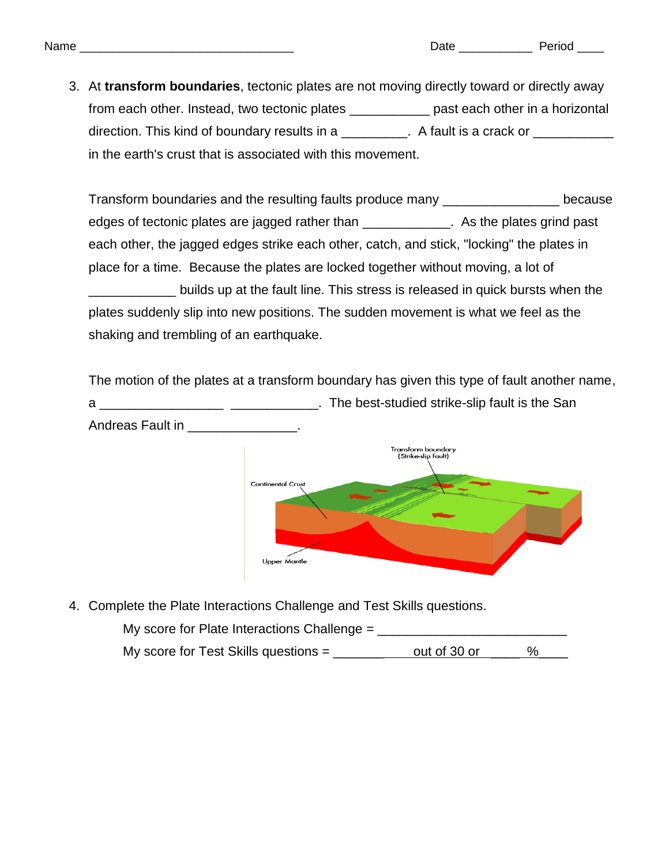3. At **transform boundaries**, tectonic plates are not moving directly toward or directly away from each other. Instead, two tectonic plates \_\_\_\_\_\_\_\_\_\_\_\_ past each other in a horizontal direction. This kind of boundary results in a \_\_\_\_\_\_\_\_. A fault is a crack or \_\_\_\_\_\_\_\_ in the earth's crust that is associated with this movement.

Transform boundaries and the resulting faults produce many \_\_\_\_\_\_\_\_\_\_\_\_\_\_\_\_ because edges of tectonic plates are jagged rather than \_\_\_\_\_\_\_\_\_\_\_\_\_. As the plates grind past each other, the jagged edges strike each other, catch, and stick, "locking" the plates in place for a time. Because the plates are locked together without moving, a lot of \_\_\_\_\_\_\_\_\_\_\_\_ builds up at the fault line. This stress is released in quick bursts when the plates suddenly slip into new positions. The sudden movement is what we feel as the shaking and trembling of an earthquake.

The motion of the plates at a transform boundary has given this type of fault another name, a \_\_\_\_\_\_\_\_\_\_\_\_\_\_\_\_\_\_\_\_\_\_\_\_\_\_\_\_\_\_\_\_\_\_. The best-studied strike-slip fault is the San Andreas Fault in **Andreas** Fault in



4. Complete the Plate Interactions Challenge and Test Skills questions.

My score for Plate Interactions Challenge = \_\_\_\_\_\_\_\_\_\_\_\_\_\_\_\_\_\_\_\_\_\_\_\_\_\_ My score for Test Skills questions =  $\frac{\ }{\ }$  out of 30 or  $\frac{9}{\ }$ %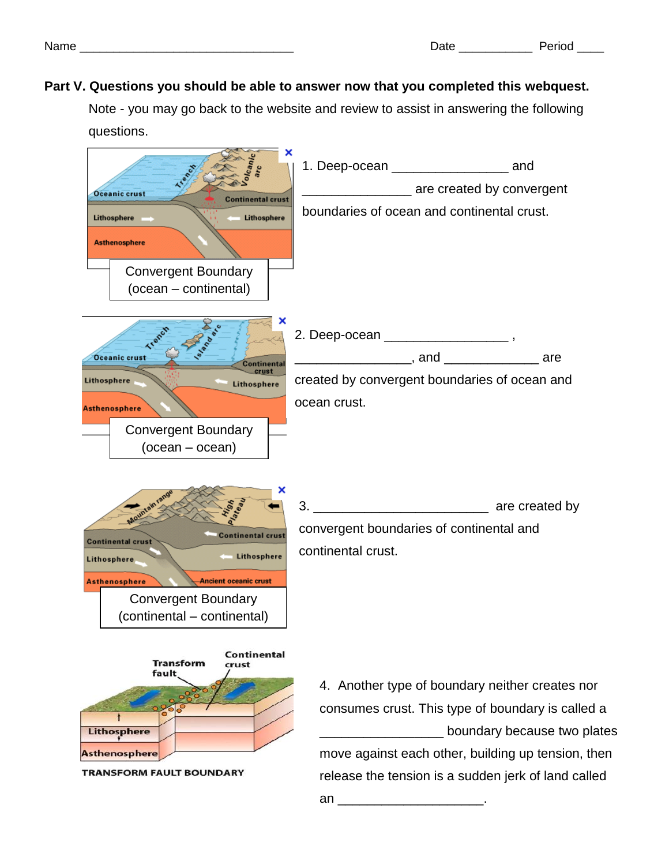## **Part V. Questions you should be able to answer now that you completed this webquest.**

Note - you may go back to the website and review to assist in answering the following questions.